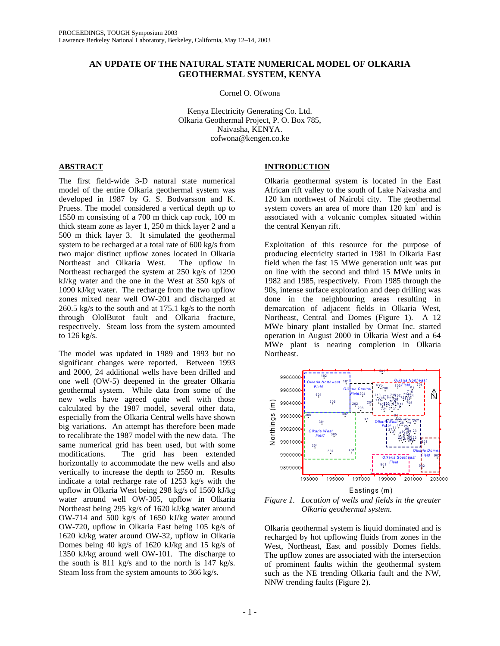# **AN UPDATE OF THE NATURAL STATE NUMERICAL MODEL OF OLKARIA GEOTHERMAL SYSTEM, KENYA**

Cornel O. Ofwona

Kenya Electricity Generating Co. Ltd. Olkaria Geothermal Project, P. O. Box 785, Naivasha, KENYA. cofwona@kengen.co.ke

## **ABSTRACT**

The first field-wide 3-D natural state numerical model of the entire Olkaria geothermal system was developed in 1987 by G. S. Bodvarsson and K. Pruess. The model considered a vertical depth up to 1550 m consisting of a 700 m thick cap rock, 100 m thick steam zone as layer 1, 250 m thick layer 2 and a 500 m thick layer 3. It simulated the geothermal system to be recharged at a total rate of 600 kg/s from two major distinct upflow zones located in Olkaria Northeast and Olkaria West. The upflow in Northeast recharged the system at 250 kg/s of 1290 kJ/kg water and the one in the West at 350 kg/s of 1090 kJ/kg water. The recharge from the two upflow zones mixed near well OW-201 and discharged at 260.5 kg/s to the south and at 175.1 kg/s to the north through OlolButot fault and Olkaria fracture, respectively. Steam loss from the system amounted to 126 kg/s.

The model was updated in 1989 and 1993 but no significant changes were reported. Between 1993 and 2000, 24 additional wells have been drilled and one well (OW-5) deepened in the greater Olkaria geothermal system. While data from some of the new wells have agreed quite well with those calculated by the 1987 model, several other data, especially from the Olkaria Central wells have shown big variations. An attempt has therefore been made to recalibrate the 1987 model with the new data. The same numerical grid has been used, but with some modifications. The grid has been extended horizontally to accommodate the new wells and also vertically to increase the depth to 2550 m. Results indicate a total recharge rate of 1253 kg/s with the upflow in Olkaria West being 298 kg/s of 1560 kJ/kg water around well OW-305, upflow in Olkaria Northeast being 295 kg/s of 1620 kJ/kg water around OW-714 and 500 kg/s of 1650 kJ/kg water around OW-720, upflow in Olkaria East being 105 kg/s of 1620 kJ/kg water around OW-32, upflow in Olkaria Domes being 40 kg/s of 1620 kJ/kg and 15 kg/s of 1350 kJ/kg around well OW-101. The discharge to the south is 811 kg/s and to the north is 147 kg/s. Steam loss from the system amounts to 366 kg/s.

## **INTRODUCTION**

Olkaria geothermal system is located in the East African rift valley to the south of Lake Naivasha and 120 km northwest of Nairobi city. The geothermal system covers an area of more than  $120 \text{ km}^2$  and is associated with a volcanic complex situated within the central Kenyan rift.

Exploitation of this resource for the purpose of producing electricity started in 1981 in Olkaria East field when the fast 15 MWe generation unit was put on line with the second and third 15 MWe units in 1982 and 1985, respectively. From 1985 through the 90s, intense surface exploration and deep drilling was done in the neighbouring areas resulting in demarcation of adjacent fields in Olkaria West, Northeast, Central and Domes (Figure 1). A 12 MWe binary plant installed by Ormat Inc. started operation in August 2000 in Olkaria West and a 64 MWe plant is nearing completion in Olkaria Northeast.



*Figure 1. Location of wells and fields in the greater Olkaria geothermal system.* 

Olkaria geothermal system is liquid dominated and is recharged by hot upflowing fluids from zones in the West, Northeast, East and possibly Domes fields. The upflow zones are associated with the intersection of prominent faults within the geothermal system such as the NE trending Olkaria fault and the NW, NNW trending faults (Figure 2).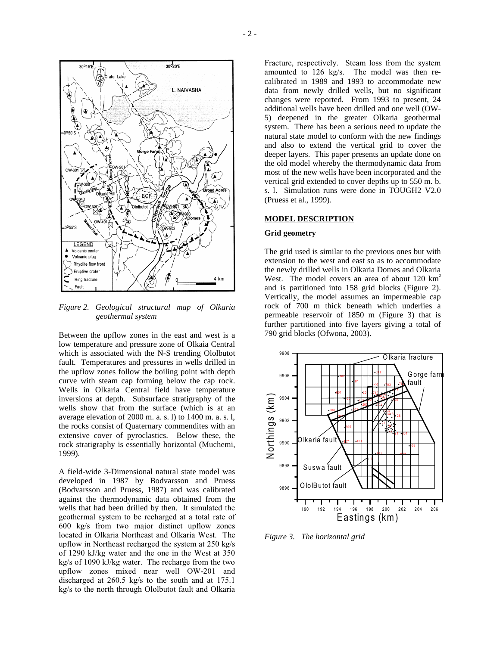

*Figure 2. Geological structural map of Olkaria geothermal system* 

Between the upflow zones in the east and west is a low temperature and pressure zone of Olkaia Central which is associated with the N-S trending Ololbutot fault. Temperatures and pressures in wells drilled in the upflow zones follow the boiling point with depth curve with steam cap forming below the cap rock. Wells in Olkaria Central field have temperature inversions at depth. Subsurface stratigraphy of the wells show that from the surface (which is at an average elevation of 2000 m. a. s. l) to 1400 m. a. s. l, the rocks consist of Quaternary commendites with an extensive cover of pyroclastics. Below these, the rock stratigraphy is essentially horizontal (Muchemi, 1999).

A field-wide 3-Dimensional natural state model was developed in 1987 by Bodvarsson and Pruess (Bodvarsson and Pruess, 1987) and was calibrated against the thermodynamic data obtained from the wells that had been drilled by then. It simulated the geothermal system to be recharged at a total rate of 600 kg/s from two major distinct upflow zones located in Olkaria Northeast and Olkaria West. The upflow in Northeast recharged the system at 250 kg/s of 1290 kJ/kg water and the one in the West at 350 kg/s of 1090 kJ/kg water. The recharge from the two upflow zones mixed near well OW-201 and discharged at 260.5 kg/s to the south and at 175.1 kg/s to the north through Ololbutot fault and Olkaria Fracture, respectively. Steam loss from the system amounted to 126 kg/s. The model was then recalibrated in 1989 and 1993 to accommodate new data from newly drilled wells, but no significant changes were reported. From 1993 to present, 24 additional wells have been drilled and one well (OW-5) deepened in the greater Olkaria geothermal system. There has been a serious need to update the natural state model to conform with the new findings and also to extend the vertical grid to cover the deeper layers. This paper presents an update done on the old model whereby the thermodynamic data from most of the new wells have been incorporated and the vertical grid extended to cover depths up to 550 m. b. s. l. Simulation runs were done in TOUGH2 V2.0 (Pruess et al., 1999).

#### **MODEL DESCRIPTION**

#### **Grid geometry**

The grid used is similar to the previous ones but with extension to the west and east so as to accommodate the newly drilled wells in Olkaria Domes and Olkaria West. The model covers an area of about 120 km<sup>2</sup> and is partitioned into 158 grid blocks (Figure 2). Vertically, the model assumes an impermeable cap rock of 700 m thick beneath which underlies a permeable reservoir of 1850 m (Figure 3) that is further partitioned into five layers giving a total of 790 grid blocks (Ofwona, 2003).



*Figure 3. The horizontal grid*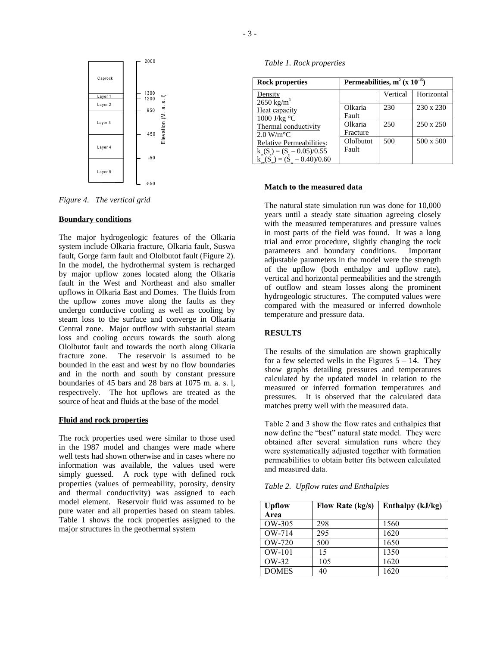

*Figure 4. The vertical grid* 

### **Boundary conditions**

The major hydrogeologic features of the Olkaria system include Olkaria fracture, Olkaria fault, Suswa fault, Gorge farm fault and Ololbutot fault (Figure 2). In the model, the hydrothermal system is recharged by major upflow zones located along the Olkaria fault in the West and Northeast and also smaller upflows in Olkaria East and Domes. The fluids from the upflow zones move along the faults as they undergo conductive cooling as well as cooling by steam loss to the surface and converge in Olkaria Central zone. Major outflow with substantial steam loss and cooling occurs towards the south along Ololbutot fault and towards the north along Olkaria fracture zone. The reservoir is assumed to be bounded in the east and west by no flow boundaries and in the north and south by constant pressure boundaries of 45 bars and 28 bars at 1075 m. a. s. l, respectively. The hot upflows are treated as the source of heat and fluids at the base of the model

### **Fluid and rock properties**

The rock properties used were similar to those used in the 1987 model and changes were made where well tests had shown otherwise and in cases where no information was available, the values used were simply guessed. A rock type with defined rock properties (values of permeability, porosity, density and thermal conductivity) was assigned to each model element. Reservoir fluid was assumed to be pure water and all properties based on steam tables. Table 1 shows the rock properties assigned to the major structures in the geothermal system

*Table 1. Rock properties* 

| <b>Rock properties</b>                                                   | Permeabilities, $m^2$ (x 10 <sup>-15</sup> ) |          |            |
|--------------------------------------------------------------------------|----------------------------------------------|----------|------------|
| Density<br>$2650$ kg/m <sup>3</sup>                                      |                                              | Vertical | Horizontal |
| Heat capacity<br>1000 J/kg $\rm ^{\circ}C$                               | Olkaria<br>Fault                             | 230      | 230 x 230  |
| Thermal conductivity<br>$2.0 \text{ W/m}^{\circ} \text{C}$               | Olkaria<br>Fracture                          | 250      | 250 x 250  |
| <b>Relative Permeabilities:</b><br>$k_{\rm rs}(S_s) = (S_s - 0.05)/0.55$ | Ololbutot<br>Fault                           | 500      | 500 x 500  |
| $\underline{k_w(S_w)} = (S_w - 0.40)/0.60$                               |                                              |          |            |

## **Match to the measured data**

The natural state simulation run was done for 10,000 years until a steady state situation agreeing closely with the measured temperatures and pressure values in most parts of the field was found. It was a long trial and error procedure, slightly changing the rock parameters and boundary conditions. Important adjustable parameters in the model were the strength of the upflow (both enthalpy and upflow rate), vertical and horizontal permeabilities and the strength of outflow and steam losses along the prominent hydrogeologic structures. The computed values were compared with the measured or inferred downhole temperature and pressure data.

### **RESULTS**

The results of the simulation are shown graphically for a few selected wells in the Figures  $5 - 14$ . They show graphs detailing pressures and temperatures calculated by the updated model in relation to the measured or inferred formation temperatures and pressures. It is observed that the calculated data matches pretty well with the measured data.

Table 2 and 3 show the flow rates and enthalpies that now define the "best" natural state model. They were obtained after several simulation runs where they were systematically adjusted together with formation permeabilities to obtain better fits between calculated and measured data.

*Table 2. Upflow rates and Enthalpies* 

| <b>Upflow</b><br>Area | Flow Rate (kg/s) | Enthalpy (kJ/kg) |
|-----------------------|------------------|------------------|
| OW-305                | 298              | 1560             |
| OW-714                | 295              | 1620             |
| $OW-720$              | 500              | 1650             |
| OW-101                | 15               | 1350             |
| OW-32                 | 105              | 1620             |
| <b>DOMES</b>          | 40               | 1620             |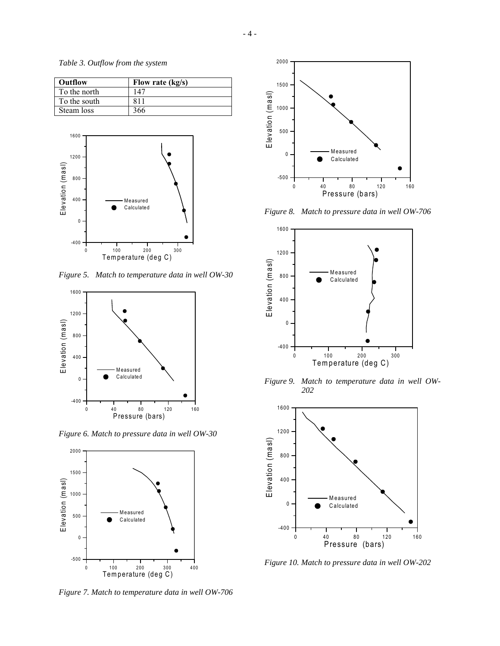*Table 3. Outflow from the system*

| Outflow      | Flow rate (kg/s) |
|--------------|------------------|
| To the north | 147              |
| To the south | 811              |
| Steam loss   | 366              |



*Figure 5. Match to temperature data in well OW-30* 



*Figure 6. Match to pressure data in well OW-30* 



*Figure 7. Match to temperature data in well OW-706* 



*Figure 8. Match to pressure data in well OW-706* 



*Figure 9. Match to temperature data in well OW-202* 



*Figure 10. Match to pressure data in well OW-202*